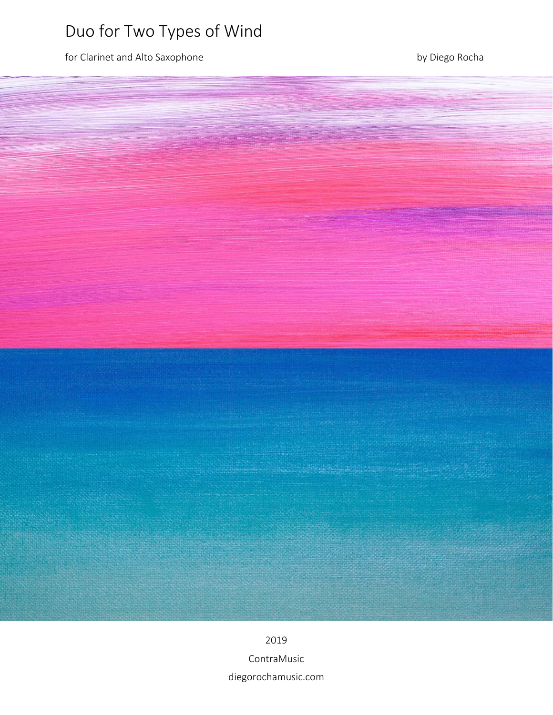## Duo for Two Types of Wind

for Clarinet and Alto Saxophone by Diego Rocha

2019 ContraMusic diegorochamusic.com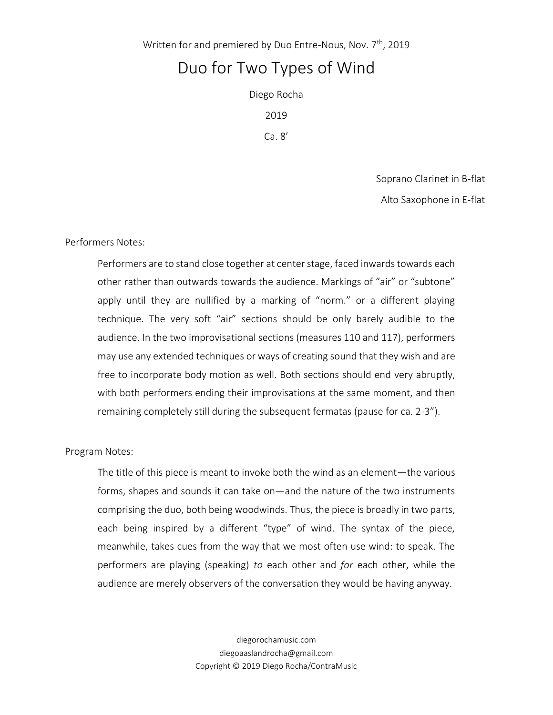Written for and premiered by Duo Entre-Nous, Nov. 7<sup>th</sup>, 2019

## Duo for Two Types of Wind

Diego Rocha 2019 Ca. 8'

> Soprano Clarinet in B-flat Alto Saxophone in E-flat

Performers Notes:

Performers are to stand close together at center stage, faced inwards towards each other rather than outwards towards the audience. Markings of "air" or "subtone" apply until they are nullified by a marking of "norm." or a different playing technique. The very soft "air" sections should be only barely audible to the audience. In the two improvisational sections (measures 110 and 117), performers may use any extended techniques or ways of creating sound that they wish and are free to incorporate body motion as well. Both sections should end very abruptly, with both performers ending their improvisations at the same moment, and then remaining completely still during the subsequent fermatas (pause for ca. 2-3").

Program Notes:

The title of this piece is meant to invoke both the wind as an element—the various forms, shapes and sounds it can take on—and the nature of the two instruments comprising the duo, both being woodwinds. Thus, the piece is broadly in two parts, each being inspired by a different "type" of wind. The syntax of the piece, meanwhile, takes cues from the way that we most often use wind: to speak. The performers are playing (speaking) *to* each other and *for* each other, while the audience are merely observers of the conversation they would be having anyway.

> diegorochamusic.com diegoaaslandrocha@gmail.com Copyright © 2019 Diego Rocha/ContraMusic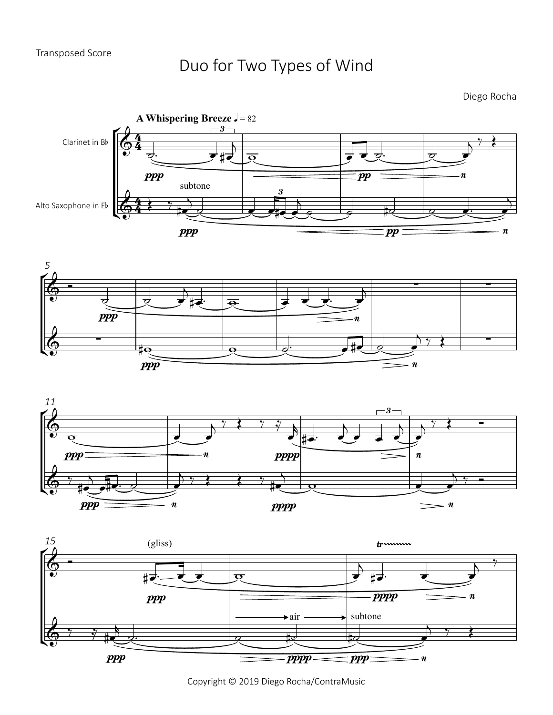Duo for Two Types of Wind

Diego Rocha









Copyright © 2019 Diego Rocha/ContraMusic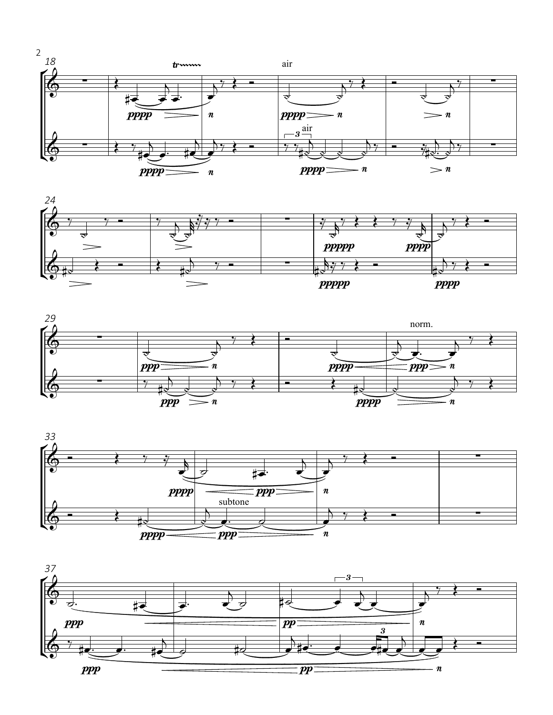







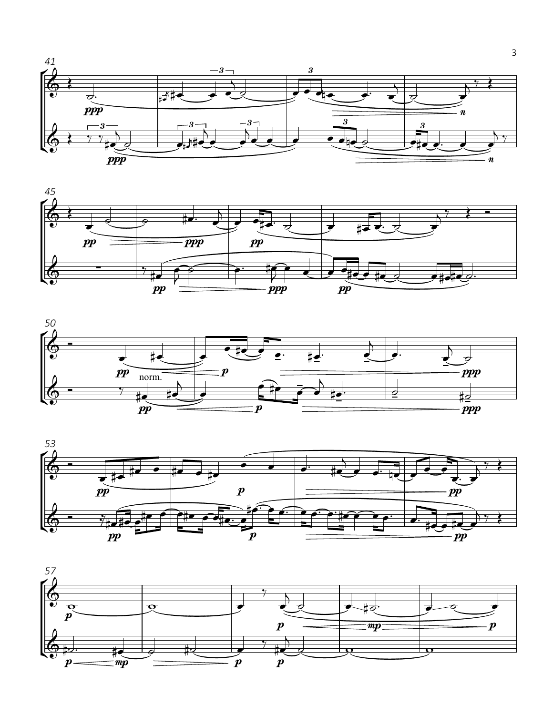







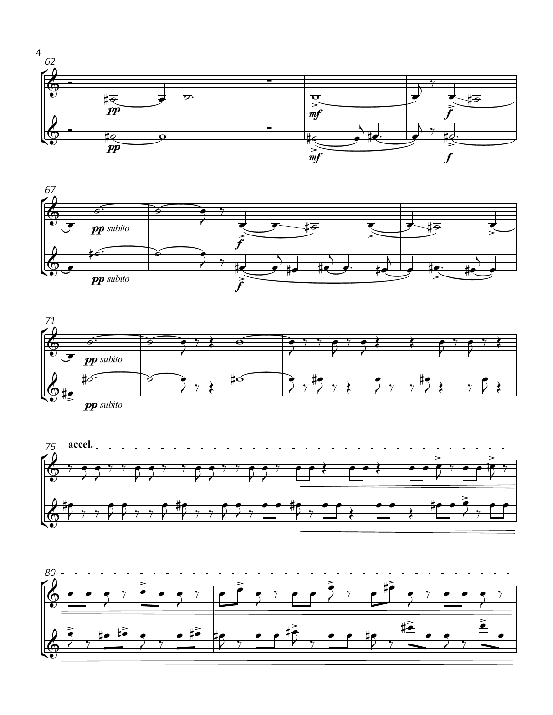







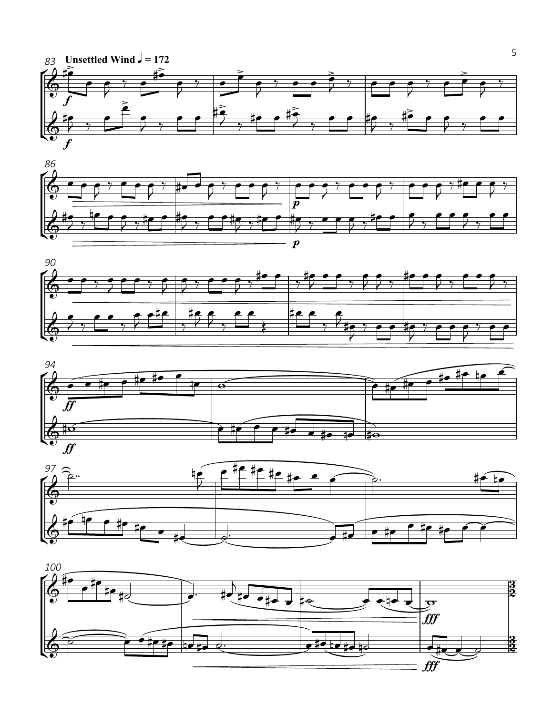